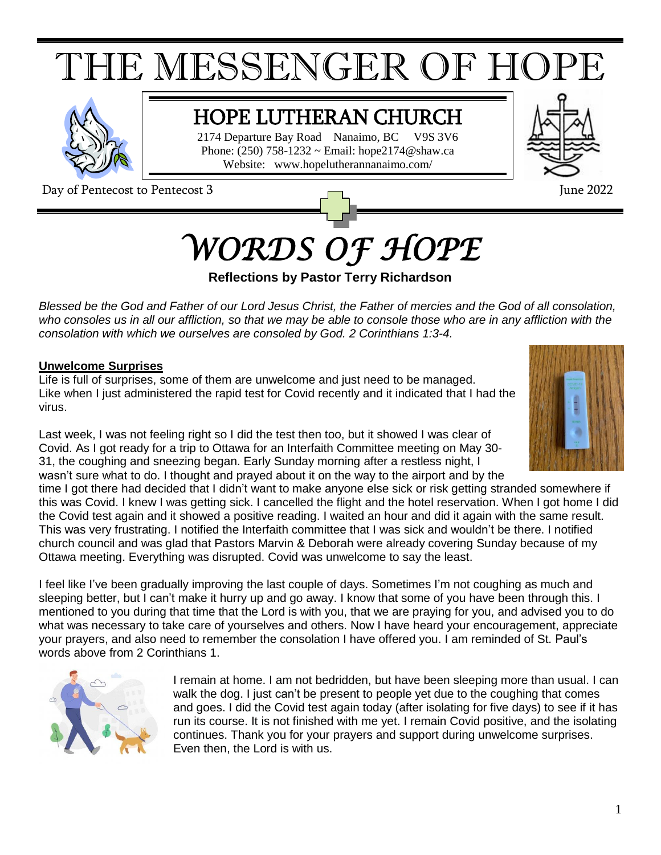# THE MESSENGER OF HOPE



## HOPE LUTHERAN CHURCH

2174 Departure Bay Road Nanaimo, BC V9S 3V6 Phone:  $(250)$  758-1232 ~ Email: hope $2174@$ shaw.ca Website: www.hopelutherannanaimo.com/

Day of Pentecost to Pentecost 3 June 2022



## *WORDS OF HOPE*

#### **Reflections by Pastor Terry Richardson**

Blessed be the God and Father of our Lord Jesus Christ, the Father of mercies and the God of all consolation, who consoles us in all our affliction, so that we may be able to console those who are in any affliction with the *consolation with which we ourselves are consoled by God. 2 Corinthians 1:3-4.*

#### **Unwelcome Surprises**

Life is full of surprises, some of them are unwelcome and just need to be managed. Like when I just administered the rapid test for Covid recently and it indicated that I had the virus.



Last week, I was not feeling right so I did the test then too, but it showed I was clear of Covid. As I got ready for a trip to Ottawa for an Interfaith Committee meeting on May 30- 31, the coughing and sneezing began. Early Sunday morning after a restless night, I wasn't sure what to do. I thought and prayed about it on the way to the airport and by the

time I got there had decided that I didn't want to make anyone else sick or risk getting stranded somewhere if this was Covid. I knew I was getting sick. I cancelled the flight and the hotel reservation. When I got home I did the Covid test again and it showed a positive reading. I waited an hour and did it again with the same result. This was very frustrating. I notified the Interfaith committee that I was sick and wouldn't be there. I notified church council and was glad that Pastors Marvin & Deborah were already covering Sunday because of my Ottawa meeting. Everything was disrupted. Covid was unwelcome to say the least.

I feel like I've been gradually improving the last couple of days. Sometimes I'm not coughing as much and sleeping better, but I can't make it hurry up and go away. I know that some of you have been through this. I mentioned to you during that time that the Lord is with you, that we are praying for you, and advised you to do what was necessary to take care of yourselves and others. Now I have heard your encouragement, appreciate your prayers, and also need to remember the consolation I have offered you. I am reminded of St. Paul's words above from 2 Corinthians 1.



I remain at home. I am not bedridden, but have been sleeping more than usual. I can walk the dog. I just can't be present to people yet due to the coughing that comes and goes. I did the Covid test again today (after isolating for five days) to see if it has run its course. It is not finished with me yet. I remain Covid positive, and the isolating continues. Thank you for your prayers and support during unwelcome surprises. Even then, the Lord is with us.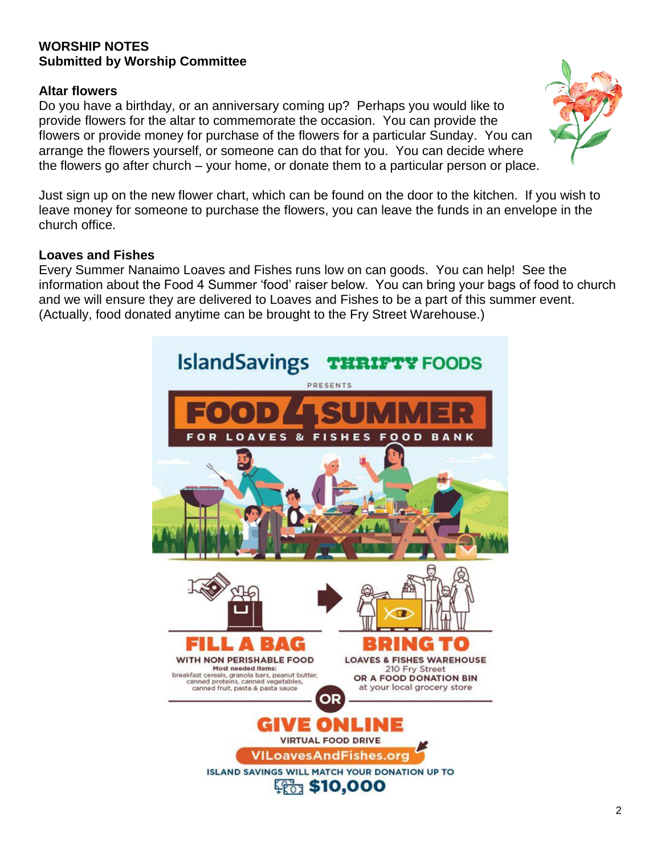#### **WORSHIP NOTES Submitted by Worship Committee**

#### **Altar flowers**

Do you have a birthday, or an anniversary coming up? Perhaps you would like to provide flowers for the altar to commemorate the occasion. You can provide the flowers or provide money for purchase of the flowers for a particular Sunday. You can arrange the flowers yourself, or someone can do that for you. You can decide where the flowers go after church – your home, or donate them to a particular person or place.



Just sign up on the new flower chart, which can be found on the door to the kitchen. If you wish to leave money for someone to purchase the flowers, you can leave the funds in an envelope in the church office.

#### **Loaves and Fishes**

Every Summer Nanaimo Loaves and Fishes runs low on can goods. You can help! See the information about the Food 4 Summer 'food' raiser below. You can bring your bags of food to church and we will ensure they are delivered to Loaves and Fishes to be a part of this summer event. (Actually, food donated anytime can be brought to the Fry Street Warehouse.)

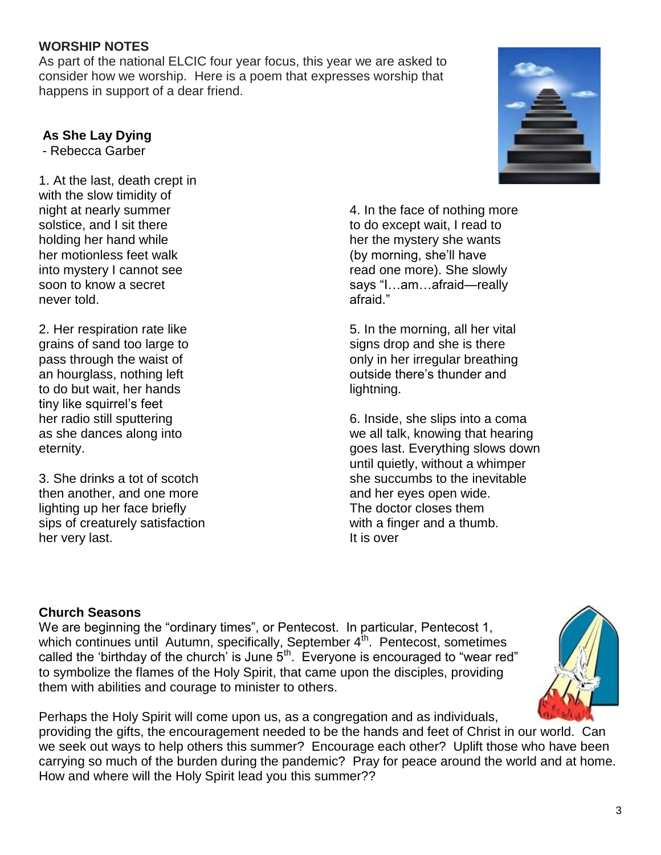#### **WORSHIP NOTES**

As part of the national ELCIC four year focus, this year we are asked to consider how we worship. Here is a poem that expresses worship that happens in support of a dear friend.

#### **As She Lay Dying**

- Rebecca Garber

1. At the last, death crept in with the slow timidity of night at nearly summer solstice, and I sit there holding her hand while her motionless feet walk into mystery I cannot see soon to know a secret never told.

2. Her respiration rate like grains of sand too large to pass through the waist of an hourglass, nothing left to do but wait, her hands tiny like squirrel's feet her radio still sputtering as she dances along into eternity.

3. She drinks a tot of scotch then another, and one more lighting up her face briefly sips of creaturely satisfaction her very last.



4. In the face of nothing more to do except wait, I read to her the mystery she wants (by morning, she'll have read one more). She slowly says "I…am…afraid—really afraid."

5. In the morning, all her vital signs drop and she is there only in her irregular breathing outside there's thunder and lightning.

6. Inside, she slips into a coma we all talk, knowing that hearing goes last. Everything slows down until quietly, without a whimper she succumbs to the inevitable and her eyes open wide. The doctor closes them with a finger and a thumb. It is over

#### **Church Seasons**

We are beginning the "ordinary times", or Pentecost. In particular, Pentecost 1, which continues until Autumn, specifically, September  $4<sup>th</sup>$ . Pentecost, sometimes called the 'birthday of the church' is June  $5<sup>th</sup>$ . Everyone is encouraged to "wear red" to symbolize the flames of the Holy Spirit, that came upon the disciples, providing them with abilities and courage to minister to others.



Perhaps the Holy Spirit will come upon us, as a congregation and as individuals, providing the gifts, the encouragement needed to be the hands and feet of Christ in our world. Can we seek out ways to help others this summer? Encourage each other? Uplift those who have been carrying so much of the burden during the pandemic? Pray for peace around the world and at home. How and where will the Holy Spirit lead you this summer??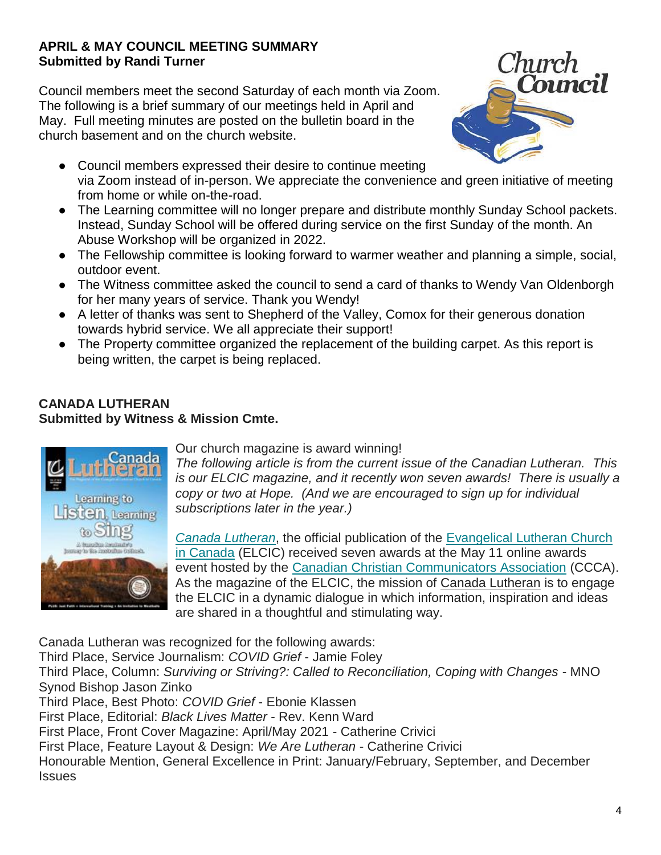#### **APRIL & MAY COUNCIL MEETING SUMMARY Submitted by Randi Turner**

Council members meet the second Saturday of each month via Zoom. The following is a brief summary of our meetings held in April and May. Full meeting minutes are posted on the bulletin board in the church basement and on the church website.



- Council members expressed their desire to continue meeting via Zoom instead of in-person. We appreciate the convenience and green initiative of meeting from home or while on-the-road.
- The Learning committee will no longer prepare and distribute monthly Sunday School packets. Instead, Sunday School will be offered during service on the first Sunday of the month. An Abuse Workshop will be organized in 2022.
- The Fellowship committee is looking forward to warmer weather and planning a simple, social, outdoor event.
- The Witness committee asked the council to send a card of thanks to Wendy Van Oldenborgh for her many years of service. Thank you Wendy!
- A letter of thanks was sent to Shepherd of the Valley, Comox for their generous donation towards hybrid service. We all appreciate their support!
- The Property committee organized the replacement of the building carpet. As this report is being written, the carpet is being replaced.

#### **CANADA LUTHERAN Submitted by Witness & Mission Cmte.**



Our church magazine is award winning!

*The following article is from the current issue of the Canadian Lutheran. This is our ELCIC magazine, and it recently won seven awards! There is usually a copy or two at Hope. (And we are encouraged to sign up for individual subscriptions later in the year.)*

*[Canada Lutheran](https://canadalutheran.ca/)*, the official publication of the [Evangelical Lutheran Church](https://elcic.ca/)  [in Canada](https://elcic.ca/) (ELCIC) received seven awards at the May 11 online awards event hosted by the [Canadian Christian Communicators Association](https://www.christiancommunicators.ca/) (CCCA). As the magazine of the ELCIC, the mission of Canada Lutheran is to engage the ELCIC in a dynamic dialogue in which information, inspiration and ideas are shared in a thoughtful and stimulating way.

Canada Lutheran was recognized for the following awards: Third Place, Service Journalism: *COVID Grief* - Jamie Foley Third Place, Column: *Surviving or Striving?: Called to Reconciliation, Coping with Changes* - MNO Synod Bishop Jason Zinko Third Place, Best Photo: *COVID Grief* - Ebonie Klassen First Place, Editorial: *Black Lives Matter* - Rev. Kenn Ward First Place, Front Cover Magazine: April/May 2021 - Catherine Crivici First Place, Feature Layout & Design: *We Are Lutheran* - Catherine Crivici Honourable Mention, General Excellence in Print: January/February, September, and December **Issues**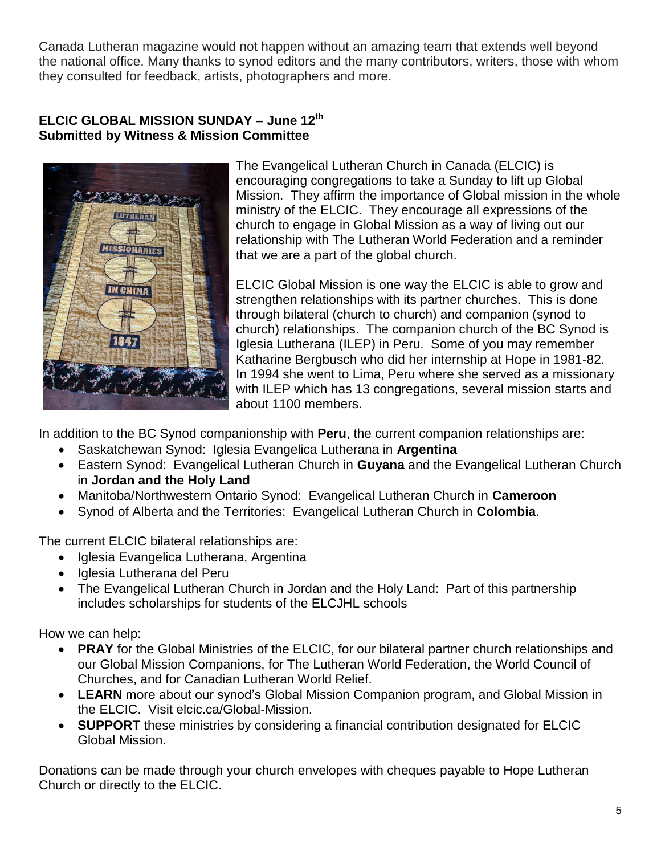Canada Lutheran magazine would not happen without an amazing team that extends well beyond the national office. Many thanks to synod editors and the many contributors, writers, those with whom they consulted for feedback, artists, photographers and more.

#### **ELCIC GLOBAL MISSION SUNDAY – June 12th Submitted by Witness & Mission Committee**



The Evangelical Lutheran Church in Canada (ELCIC) is encouraging congregations to take a Sunday to lift up Global Mission. They affirm the importance of Global mission in the whole ministry of the ELCIC. They encourage all expressions of the church to engage in Global Mission as a way of living out our relationship with The Lutheran World Federation and a reminder that we are a part of the global church.

ELCIC Global Mission is one way the ELCIC is able to grow and strengthen relationships with its partner churches. This is done through bilateral (church to church) and companion (synod to church) relationships. The companion church of the BC Synod is Iglesia Lutherana (ILEP) in Peru. Some of you may remember Katharine Bergbusch who did her internship at Hope in 1981-82. In 1994 she went to Lima, Peru where she served as a missionary with ILEP which has 13 congregations, several mission starts and about 1100 members.

In addition to the BC Synod companionship with **Peru**, the current companion relationships are:

- Saskatchewan Synod: Iglesia Evangelica Lutherana in **Argentina**
- Eastern Synod: Evangelical Lutheran Church in **Guyana** and the Evangelical Lutheran Church in **Jordan and the Holy Land**
- Manitoba/Northwestern Ontario Synod: Evangelical Lutheran Church in **Cameroon**
- Synod of Alberta and the Territories: Evangelical Lutheran Church in **Colombia**.

The current ELCIC bilateral relationships are:

- Iglesia Evangelica Lutherana, Argentina
- Iglesia Lutherana del Peru
- The Evangelical Lutheran Church in Jordan and the Holy Land: Part of this partnership includes scholarships for students of the ELCJHL schools

How we can help:

- **PRAY** for the Global Ministries of the ELCIC, for our bilateral partner church relationships and our Global Mission Companions, for The Lutheran World Federation, the World Council of Churches, and for Canadian Lutheran World Relief.
- **LEARN** more about our synod's Global Mission Companion program, and Global Mission in the ELCIC. Visit elcic.ca/Global-Mission.
- **SUPPORT** these ministries by considering a financial contribution designated for ELCIC Global Mission.

Donations can be made through your church envelopes with cheques payable to Hope Lutheran Church or directly to the ELCIC.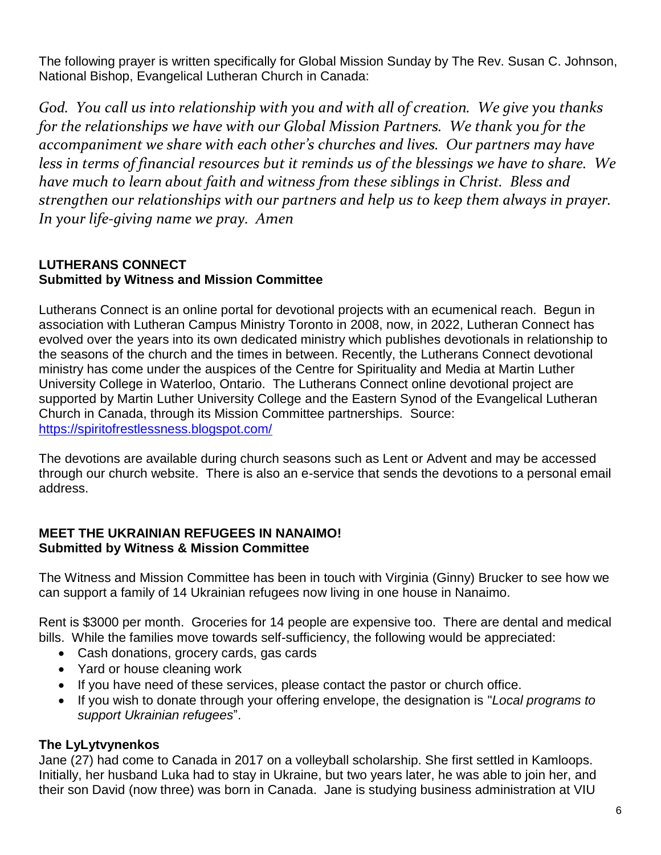The following prayer is written specifically for Global Mission Sunday by The Rev. Susan C. Johnson, National Bishop, Evangelical Lutheran Church in Canada:

*God. You call us into relationship with you and with all of creation. We give you thanks for the relationships we have with our Global Mission Partners. We thank you for the accompaniment we share with each other's churches and lives. Our partners may have less in terms of financial resources but it reminds us of the blessings we have to share. We have much to learn about faith and witness from these siblings in Christ. Bless and strengthen our relationships with our partners and help us to keep them always in prayer. In your life-giving name we pray. Amen*

#### **LUTHERANS CONNECT Submitted by Witness and Mission Committee**

Lutherans Connect is an online portal for devotional projects with an ecumenical reach. Begun in association with Lutheran Campus Ministry Toronto in 2008, now, in 2022, Lutheran Connect has evolved over the years into its own dedicated ministry which publishes devotionals in relationship to the seasons of the church and the times in between. Recently, the Lutherans Connect devotional ministry has come under the auspices of the Centre for Spirituality and Media at Martin Luther University College in Waterloo, Ontario. The Lutherans Connect online devotional project are supported by Martin Luther University College and the Eastern Synod of the Evangelical Lutheran Church in Canada, through its Mission Committee partnerships. Source: <https://spiritofrestlessness.blogspot.com/>

The devotions are available during church seasons such as Lent or Advent and may be accessed through our church website. There is also an e-service that sends the devotions to a personal email address.

#### **MEET THE UKRAINIAN REFUGEES IN NANAIMO! Submitted by Witness & Mission Committee**

The Witness and Mission Committee has been in touch with Virginia (Ginny) Brucker to see how we can support a family of 14 Ukrainian refugees now living in one house in Nanaimo.

Rent is \$3000 per month. Groceries for 14 people are expensive too. There are dental and medical bills. While the families move towards self-sufficiency, the following would be appreciated:

- Cash donations, grocery cards, gas cards
- Yard or house cleaning work
- If you have need of these services, please contact the pastor or church office.
- If you wish to donate through your offering envelope, the designation is "*Local programs to support Ukrainian refugees*".

#### **The LyLytvynenkos**

Jane (27) had come to Canada in 2017 on a volleyball scholarship. She first settled in Kamloops. Initially, her husband Luka had to stay in Ukraine, but two years later, he was able to join her, and their son David (now three) was born in Canada. Jane is studying business administration at VIU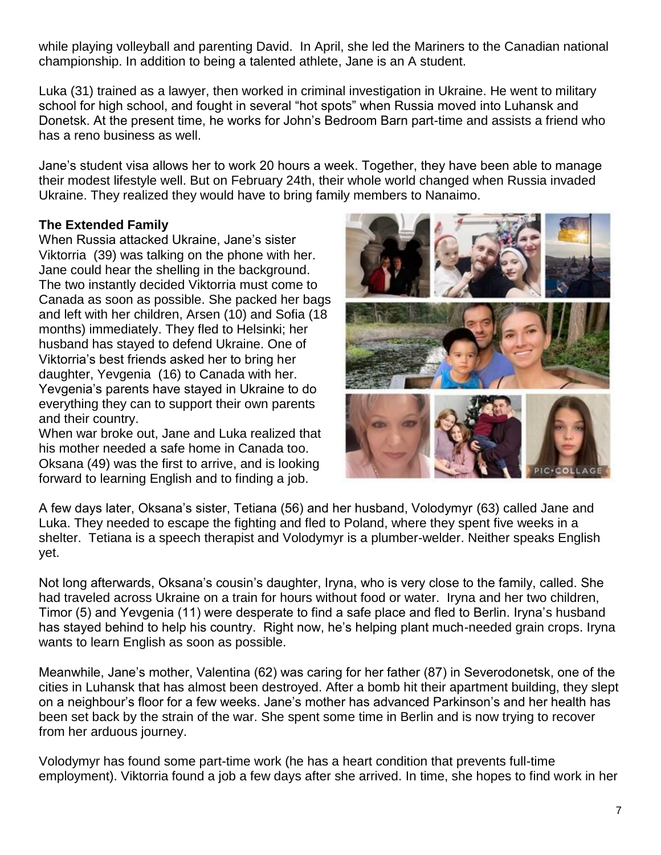while playing volleyball and parenting David. In April, she led the Mariners to the Canadian national championship. In addition to being a talented athlete, Jane is an A student.

Luka (31) trained as a lawyer, then worked in criminal investigation in Ukraine. He went to military school for high school, and fought in several "hot spots" when Russia moved into Luhansk and Donetsk. At the present time, he works for John's Bedroom Barn part-time and assists a friend who has a reno business as well.

Jane's student visa allows her to work 20 hours a week. Together, they have been able to manage their modest lifestyle well. But on February 24th, their whole world changed when Russia invaded Ukraine. They realized they would have to bring family members to Nanaimo.

#### **The Extended Family**

When Russia attacked Ukraine, Jane's sister Viktorria (39) was talking on the phone with her. Jane could hear the shelling in the background. The two instantly decided Viktorria must come to Canada as soon as possible. She packed her bags and left with her children, Arsen (10) and Sofia (18 months) immediately. They fled to Helsinki; her husband has stayed to defend Ukraine. One of Viktorria's best friends asked her to bring her daughter, Yevgenia (16) to Canada with her. Yevgenia's parents have stayed in Ukraine to do everything they can to support their own parents and their country.

When war broke out, Jane and Luka realized that his mother needed a safe home in Canada too. Oksana (49) was the first to arrive, and is looking forward to learning English and to finding a job.



A few days later, Oksana's sister, Tetiana (56) and her husband, Volodymyr (63) called Jane and Luka. They needed to escape the fighting and fled to Poland, where they spent five weeks in a shelter. Tetiana is a speech therapist and Volodymyr is a plumber-welder. Neither speaks English yet.

Not long afterwards, Oksana's cousin's daughter, Iryna, who is very close to the family, called. She had traveled across Ukraine on a train for hours without food or water. Iryna and her two children, Timor (5) and Yevgenia (11) were desperate to find a safe place and fled to Berlin. Iryna's husband has stayed behind to help his country. Right now, he's helping plant much-needed grain crops. Iryna wants to learn English as soon as possible.

Meanwhile, Jane's mother, Valentina (62) was caring for her father (87) in Severodonetsk, one of the cities in Luhansk that has almost been destroyed. After a bomb hit their apartment building, they slept on a neighbour's floor for a few weeks. Jane's mother has advanced Parkinson's and her health has been set back by the strain of the war. She spent some time in Berlin and is now trying to recover from her arduous journey.

Volodymyr has found some part-time work (he has a heart condition that prevents full-time employment). Viktorria found a job a few days after she arrived. In time, she hopes to find work in her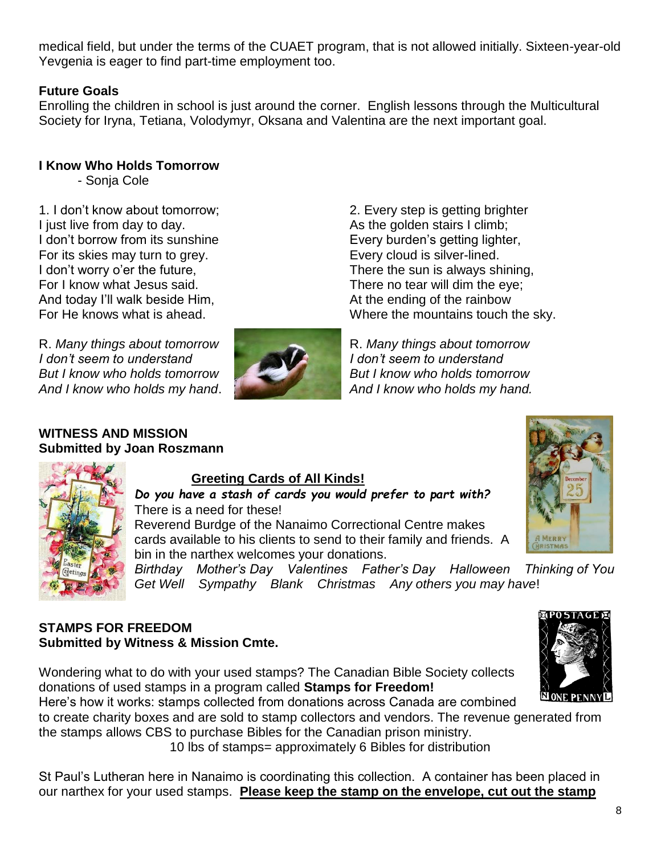medical field, but under the terms of the CUAET program, that is not allowed initially. Sixteen-year-old Yevgenia is eager to find part-time employment too.

#### **Future Goals**

Enrolling the children in school is just around the corner. English lessons through the Multicultural Society for Iryna, Tetiana, Volodymyr, Oksana and Valentina are the next important goal.

#### **I Know Who Holds Tomorrow**

- Sonja Cole

1. I don't know about tomorrow; I just live from day to day. I don't borrow from its sunshine For its skies may turn to grey. I don't worry o'er the future, For I know what Jesus said. And today I'll walk beside Him, For He knows what is ahead.

R. *Many things about tomorrow I don't seem to understand But I know who holds tomorrow And I know who holds my hand*.



2. Every step is getting brighter As the golden stairs I climb; Every burden's getting lighter, Every cloud is silver-lined. There the sun is always shining, There no tear will dim the eye; At the ending of the rainbow Where the mountains touch the sky.

R. *Many things about tomorrow I don't seem to understand But I know who holds tomorrow And I know who holds my hand.*

#### **WITNESS AND MISSION Submitted by Joan Roszmann**



#### **Greeting Cards of All Kinds!**

*Do you have a stash of cards you would prefer to part with?* There is a need for these!

Reverend Burdge of the Nanaimo Correctional Centre makes cards available to his clients to send to their family and friends. A bin in the narthex welcomes your donations.

*Birthday Mother's Day Valentines Father's Day Halloween Thinking of You Get Well Sympathy Blank Christmas Any others you may have*!

#### **STAMPS FOR FREEDOM Submitted by Witness & Mission Cmte.**

Wondering what to do with your used stamps? The Canadian Bible Society collects donations of used stamps in a program called **Stamps for Freedom!**

Here's how it works: stamps collected from donations across Canada are combined to create charity boxes and are sold to stamp collectors and vendors. The revenue generated from the stamps allows CBS to purchase Bibles for the Canadian prison ministry.

10 lbs of stamps= approximately 6 Bibles for distribution

St Paul's Lutheran here in Nanaimo is coordinating this collection. A container has been placed in our narthex for your used stamps. **Please keep the stamp on the envelope, cut out the stamp**